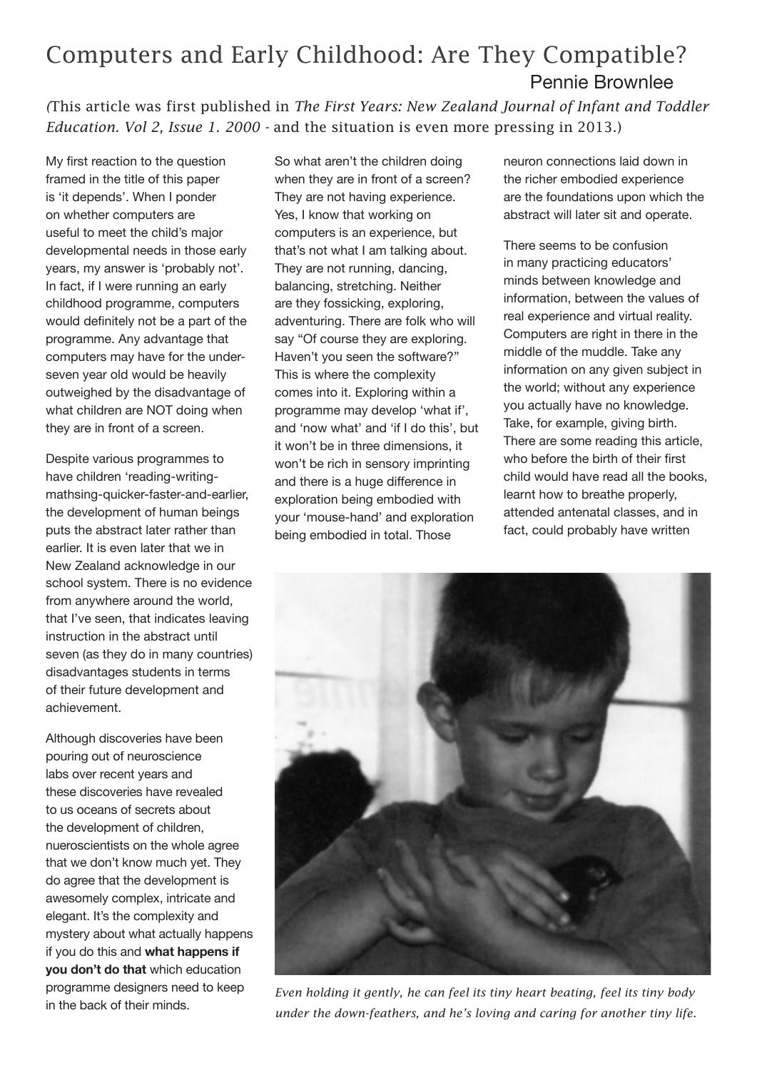## Computers and Early Childhood: Are They Compatible? Pennie Brownlee

*(*This article was first published in *The First Years: New Zealand Journal of Infant and Toddler Education. Vol 2, Issue 1. 2000 -* and the situation is even more pressing in 2013.)

My first reaction to the question framed in the title of this paper is 'it depends'. When I ponder on whether computers are useful to meet the child's major developmental needs in those early years, my answer is 'probably not'. In fact, if I were running an early childhood programme, computers would definitely not be a part of the programme. Any advantage that computers may have for the underseven year old would be heavily outweighed by the disadvantage of what children are NOT doing when they are in front of a screen.

Despite various programmes to have children 'reading-writingmathsing-quicker-faster-and-earlier, the development of human beings puts the abstract later rather than earlier. It is even later that we in New Zealand acknowledge in our school system. There is no evidence from anywhere around the world, that I've seen, that indicates leaving instruction in the abstract until seven (as they do in many countries) disadvantages students in terms of their future development and achievement.

Although discoveries have been pouring out of neuroscience labs over recent years and these discoveries have revealed to us oceans of secrets about the development of children, nueroscientists on the whole agree that we don't know much yet. They do agree that the development is awesomely complex, intricate and elegant. It's the complexity and mystery about what actually happens if you do this and **what happens if you don't do that** which education programme designers need to keep in the back of their minds.

So what aren't the children doing when they are in front of a screen? They are not having experience. Yes, I know that working on computers is an experience, but that's not what I am talking about. They are not running, dancing, balancing, stretching. Neither are they fossicking, exploring, adventuring. There are folk who will say "Of course they are exploring. Haven't you seen the software?" This is where the complexity comes into it. Exploring within a programme may develop 'what if', and 'now what' and 'if I do this', but it won't be in three dimensions, it won't be rich in sensory imprinting and there is a huge difference in exploration being embodied with your 'mouse-hand' and exploration being embodied in total. Those

neuron connections laid down in the richer embodied experience are the foundations upon which the abstract will later sit and operate.

There seems to be confusion in many practicing educators' minds between knowledge and information, between the values of real experience and virtual reality. Computers are right in there in the middle of the muddle. Take any information on any given subject in the world; without any experience you actually have no knowledge. Take, for example, giving birth. There are some reading this article, who before the birth of their first child would have read all the books, learnt how to breathe properly, attended antenatal classes, and in fact, could probably have written



*Even holding it gently, he can feel its tiny heart beating, feel its tiny body under the down-feathers, and he's loving and caring for another tiny life.*